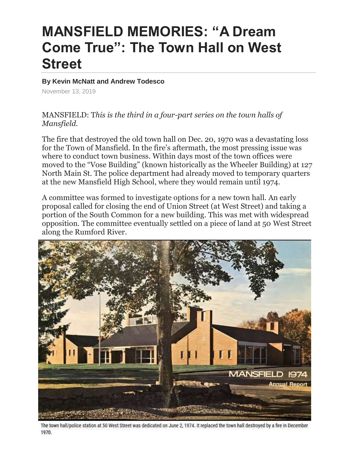## **MANSFIELD MEMORIES: "A Dream Come True": The Town Hall on West Street**

**By Kevin McNatt and Andrew Todesco**

November 13, 2019

MANSFIELD: T*his is the third in a four-part series on the town halls of Mansfield.*

The fire that destroyed the old town hall on Dec. 20, 1970 was a devastating loss for the Town of Mansfield. In the fire's aftermath, the most pressing issue was where to conduct town business. Within days most of the town offices were moved to the "Vose Building" (known historically as the Wheeler Building) at 127 North Main St. The police department had already moved to temporary quarters at the new Mansfield High School, where they would remain until 1974.

A committee was formed to investigate options for a new town hall. An early proposal called for closing the end of Union Street (at West Street) and taking a portion of the South Common for a new building. This was met with widespread opposition. The committee eventually settled on a piece of land at 50 West Street along the Rumford River.



The town hall/police station at 50 West Street was dedicated on June 2, 1974. It replaced the town hall destroyed by a fire in December 1970.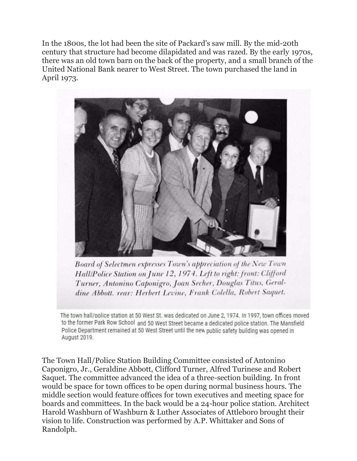In the 1800s, the lot had been the site of Packard's saw mill. By the mid-20th century that structure had become dilapidated and was razed. By the early 1970s, there was an old town barn on the back of the property, and a small branch of the United National Bank nearer to West Street. The town purchased the land in April 1973.



Board of Selectmen expresses Town's appreciation of the New Town Hall/Police Station on June 12, 1974. Left to right: front: Clifford Turner, Antonino Caponigro, Joan Secher, Douglas Titus, Geraldine Abbott. rear: Herbert Levine, Frank Colella, Robert Saquet.

The town hall/police station at 50 West St. was dedicated on June 2, 1974. In 1997, town offices moved to the former Park Row School and 50 West Street became a dedicated police station. The Mansfield Police Department remained at 50 West Street until the new public safety building was opened in August 2019.

The Town Hall/Police Station Building Committee consisted of Antonino Caponigro, Jr., Geraldine Abbott, Clifford Turner, Alfred Turinese and Robert Saquet. The committee advanced the idea of a three-section building. In front would be space for town offices to be open during normal business hours. The middle section would feature offices for town executives and meeting space for boards and committees. In the back would be a 24-hour police station. Architect Harold Washburn of Washburn & Luther Associates of Attleboro brought their vision to life. Construction was performed by A.P. Whittaker and Sons of Randolph.